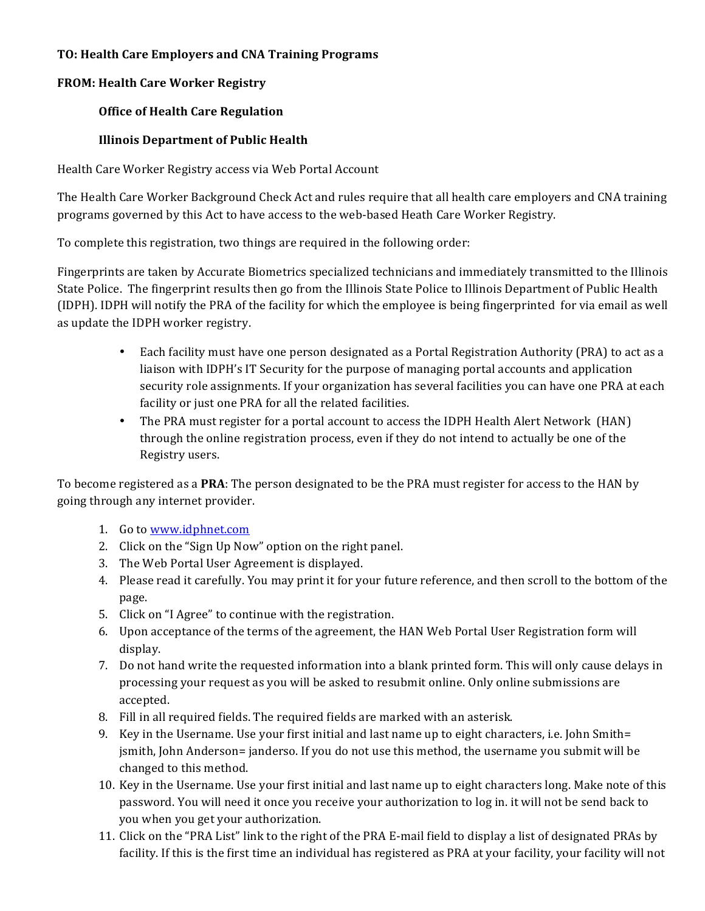# **TO: Health Care Employers and CNA Training Programs**

# **FROM: Health Care Worker Registry**

# **Office of Health Care Regulation**

# **Illinois Department of Public Health**

Health Care Worker Registry access via Web Portal Account

The Health Care Worker Background Check Act and rules require that all health care employers and CNA training programs governed by this Act to have access to the web-based Heath Care Worker Registry.

To complete this registration, two things are required in the following order:

Fingerprints are taken by Accurate Biometrics specialized technicians and immediately transmitted to the Illinois State Police. The fingerprint results then go from the Illinois State Police to Illinois Department of Public Health (IDPH). IDPH will notify the PRA of the facility for which the employee is being fingerprinted for via email as well as update the IDPH worker registry.

- Each facility must have one person designated as a Portal Registration Authority (PRA) to act as a liaison with IDPH's IT Security for the purpose of managing portal accounts and application security role assignments. If your organization has several facilities you can have one PRA at each facility or just one PRA for all the related facilities.
- The PRA must register for a portal account to access the IDPH Health Alert Network (HAN) through the online registration process, even if they do not intend to actually be one of the Registry users.

To become registered as a **PRA**: The person designated to be the PRA must register for access to the HAN by going through any internet provider.

- 1. Go to www.idphnet.com
- 2. Click on the "Sign Up Now" option on the right panel.
- 3. The Web Portal User Agreement is displayed.
- 4. Please read it carefully. You may print it for your future reference, and then scroll to the bottom of the page.
- 5. Click on "I Agree" to continue with the registration.
- 6. Upon acceptance of the terms of the agreement, the HAN Web Portal User Registration form will display.
- 7. Do not hand write the requested information into a blank printed form. This will only cause delays in processing your request as you will be asked to resubmit online. Only online submissions are accepted.
- 8. Fill in all required fields. The required fields are marked with an asterisk.
- 9. Key in the Username. Use your first initial and last name up to eight characters, i.e. John Smith= jsmith, John Anderson= janderso. If you do not use this method, the username you submit will be changed to this method.
- 10. Key in the Username. Use your first initial and last name up to eight characters long. Make note of this password. You will need it once you receive your authorization to log in. it will not be send back to you when you get your authorization.
- 11. Click on the "PRA List" link to the right of the PRA E-mail field to display a list of designated PRAs by facility. If this is the first time an individual has registered as PRA at your facility, your facility will not